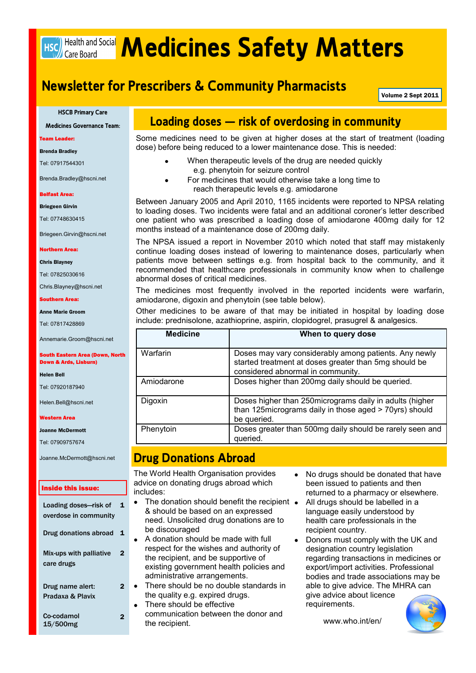# **HSC** Health and Social **Medicines Safety Matters**

## **Newsletter for Prescribers & Community Pharmacists**

Volume 2 Sept 2011

**HSCB Primary Care**

**Medicines Governance Team:**

Team Leader:

Brenda Bradley

Tel: 07917544301

Brenda.Bradley@hscni.net

Belfast Area:

Briegeen Girvin

Tel: 07748630415

Briegeen.Girvin@hscni.net

Northern Area:

Chris Blayney

Tel: 07825030616

Chris.Blayney@hscni.net

Southern Area:

Anne Marie Groom

Tel: 07817428869

Annemarie.Groom@hscni.net

South Eastern Area (Down, North Down & Ards, Lisburn)

Helen Bell

Tel: 07920187940

Helen.Bell@hscni.net

#### Western Area

Joanne McDermott

Tel: 07909757674

Joanne.McDermott@hscni.net

#### Inside this issue:

| Loading doses-risk of<br>overdose in community | 1 |
|------------------------------------------------|---|
| Drug donations abroad                          | 1 |
| Mix-ups with palliative<br>care drugs          | 2 |
| Drug name alert:<br>Pradaxa & Plavix           |   |
| Co-codamol<br>15/500mg                         |   |

## **Loading doses – risk of overdosing in community**

Some medicines need to be given at higher doses at the start of treatment (loading dose) before being reduced to a lower maintenance dose. This is needed:

- When therapeutic levels of the drug are needed quickly e.g. phenytoin for seizure control
- For medicines that would otherwise take a long time to reach therapeutic levels e.g. amiodarone

Between January 2005 and April 2010, 1165 incidents were reported to NPSA relating to loading doses. Two incidents were fatal and an additional coroner"s letter described one patient who was prescribed a loading dose of amiodarone 400mg daily for 12 months instead of a maintenance dose of 200mg daily.

The NPSA issued a report in November 2010 which noted that staff may mistakenly continue loading doses instead of lowering to maintenance doses, particularly when patients move between settings e.g. from hospital back to the community, and it recommended that healthcare professionals in community know when to challenge abnormal doses of critical medicines.

The medicines most frequently involved in the reported incidents were warfarin, amiodarone, digoxin and phenytoin (see table below).

Other medicines to be aware of that may be initiated in hospital by loading dose include: prednisolone, azathioprine, aspirin, clopidogrel, prasugrel & analgesics.

| <b>Medicine</b> | When to query dose                                                                                                                                  |
|-----------------|-----------------------------------------------------------------------------------------------------------------------------------------------------|
| Warfarin        | Doses may vary considerably among patients. Any newly<br>started treatment at doses greater than 5mg should be<br>considered abnormal in community. |
| Amiodarone      | Doses higher than 200mg daily should be queried.                                                                                                    |
| Digoxin         | Doses higher than 250 micrograms daily in adults (higher<br>than 125 micrograms daily in those aged > 70 yrs) should<br>be queried.                 |
| Phenytoin       | Doses greater than 500mg daily should be rarely seen and<br>queried.                                                                                |

## **Drug Donations Abroad**

The World Health Organisation provides advice on donating drugs abroad which includes:

- The donation should benefit the recipient & should be based on an expressed need. Unsolicited drug donations are to be discouraged
- A donation should be made with full respect for the wishes and authority of the recipient, and be supportive of existing government health policies and administrative arrangements.
- There should be no double standards in the quality e.g. expired drugs.
- There should be effective communication between the donor and the recipient.
- No drugs should be donated that have  $\bullet$ been issued to patients and then returned to a pharmacy or elsewhere.
- All drugs should be labelled in a language easily understood by health care professionals in the recipient country.
- $\bullet$ Donors must comply with the UK and designation country legislation regarding transactions in medicines or export/import activities. Professional bodies and trade associations may be able to give advice. The MHRA can give advice about licence requirements.

www.who.int/en/